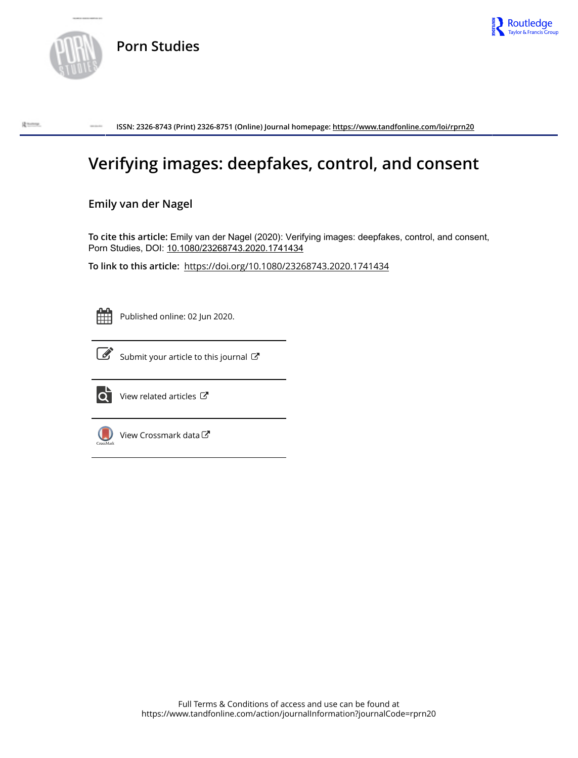

R tome



**ISSN: 2326-8743 (Print) 2326-8751 (Online) Journal homepage:<https://www.tandfonline.com/loi/rprn20>**

# **Verifying images: deepfakes, control, and consent**

# **Emily van der Nagel**

**To cite this article:** Emily van der Nagel (2020): Verifying images: deepfakes, control, and consent, Porn Studies, DOI: [10.1080/23268743.2020.1741434](https://www.tandfonline.com/action/showCitFormats?doi=10.1080/23268743.2020.1741434)

**To link to this article:** <https://doi.org/10.1080/23268743.2020.1741434>



Published online: 02 Jun 2020.



 $\overrightarrow{S}$  [Submit your article to this journal](https://www.tandfonline.com/action/authorSubmission?journalCode=rprn20&show=instructions)  $\overrightarrow{S}$ 



 $\overrightarrow{O}$  [View related articles](https://www.tandfonline.com/doi/mlt/10.1080/23268743.2020.1741434)  $\overrightarrow{C}$ 



 $\bigcirc$  [View Crossmark data](http://crossmark.crossref.org/dialog/?doi=10.1080/23268743.2020.1741434&domain=pdf&date_stamp=2020-06-02) $\mathbb{Z}$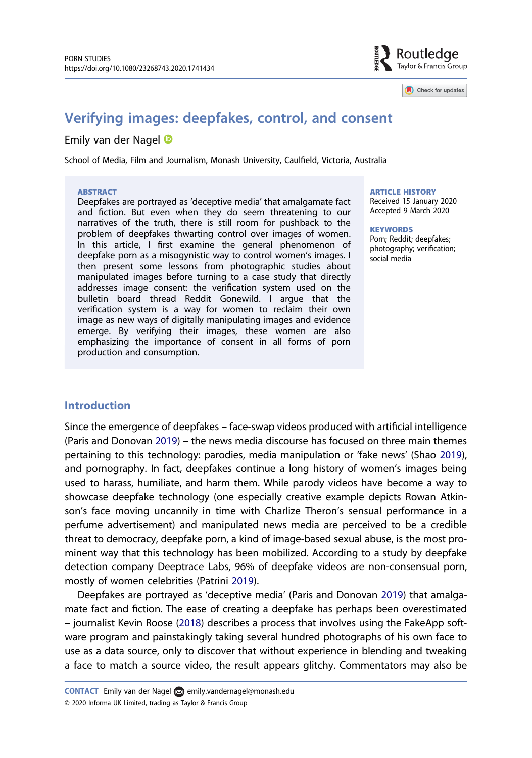

Check for undates

# <span id="page-1-0"></span>Verifying images: deepfakes, control, and consent

## Emily van der Nagel

School of Media, Film and Journalism, Monash University, Caulfield, Victoria, Australia

#### **ABSTRACT**

Deepfakes are portrayed as 'deceptive media' that amalgamate fact and fiction. But even when they do seem threatening to our narratives of the truth, there is still room for pushback to the problem of deepfakes thwarting control over images of women. In this article, I first examine the general phenomenon of deepfake porn as a misogynistic way to control women's images. I then present some lessons from photographic studies about manipulated images before turning to a case study that directly addresses image consent: the verification system used on the bulletin board thread Reddit Gonewild. I argue that the verification system is a way for women to reclaim their own image as new ways of digitally manipulating images and evidence emerge. By verifying their images, these women are also emphasizing the importance of consent in all forms of porn production and consumption.

# ARTICLE HISTORY

Received 15 January 2020 Accepted 9 March 2020

**KEYWORDS** 

Porn; Reddit; deepfakes; photography; verification; social media

## Introduction

Since the emergence of deepfakes – face-swap videos produced with artificial intelligence (Paris and Donovan [2019](#page-6-0)) – the news media discourse has focused on three main themes pertaining to this technology: parodies, media manipulation or 'fake news' (Shao [2019](#page-6-0)), and pornography. In fact, deepfakes continue a long history of women's images being used to harass, humiliate, and harm them. While parody videos have become a way to showcase deepfake technology (one especially creative example depicts Rowan Atkinson's face moving uncannily in time with Charlize Theron's sensual performance in a perfume advertisement) and manipulated news media are perceived to be a credible threat to democracy, deepfake porn, a kind of image-based sexual abuse, is the most prominent way that this technology has been mobilized. According to a study by deepfake detection company Deeptrace Labs, 96% of deepfake videos are non-consensual porn, mostly of women celebrities (Patrini [2019](#page-6-0)).

Deepfakes are portrayed as 'deceptive media' (Paris and Donovan [2019\)](#page-6-0) that amalgamate fact and fiction. The ease of creating a deepfake has perhaps been overestimated – journalist Kevin Roose [\(2018](#page-6-0)) describes a process that involves using the FakeApp software program and painstakingly taking several hundred photographs of his own face to use as a data source, only to discover that without experience in blending and tweaking a face to match a source video, the result appears glitchy. Commentators may also be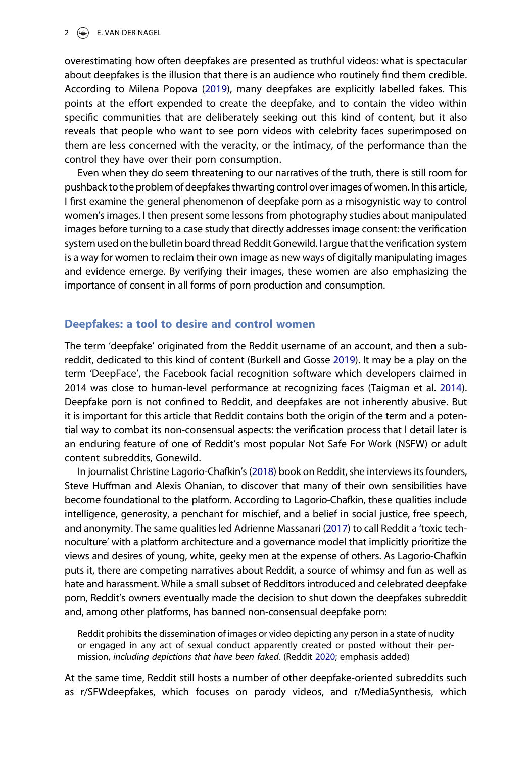#### <span id="page-2-0"></span> $2 \quad \Leftrightarrow \quad$  E. VAN DER NAGEL

overestimating how often deepfakes are presented as truthful videos: what is spectacular about deepfakes is the illusion that there is an audience who routinely find them credible. According to Milena Popova [\(2019\)](#page-6-0), many deepfakes are explicitly labelled fakes. This points at the effort expended to create the deepfake, and to contain the video within specific communities that are deliberately seeking out this kind of content, but it also reveals that people who want to see porn videos with celebrity faces superimposed on them are less concerned with the veracity, or the intimacy, of the performance than the control they have over their porn consumption.

Even when they do seem threatening to our narratives of the truth, there is still room for pushback to the problem of deepfakes thwarting control over images of women. In this article, I first examine the general phenomenon of deepfake porn as a misogynistic way to control women's images. I then present some lessons from photography studies about manipulated images before turning to a case study that directly addresses image consent: the verification system used on the bulletin board thread Reddit Gonewild. I argue that the verification system is a way for women to reclaim their own image as new ways of digitally manipulating images and evidence emerge. By verifying their images, these women are also emphasizing the importance of consent in all forms of porn production and consumption.

# Deepfakes: a tool to desire and control women

The term 'deepfake' originated from the Reddit username of an account, and then a subreddit, dedicated to this kind of content (Burkell and Gosse [2019](#page-6-0)). It may be a play on the term 'DeepFace', the Facebook facial recognition software which developers claimed in 2014 was close to human-level performance at recognizing faces (Taigman et al. [2014](#page-6-0)). Deepfake porn is not confined to Reddit, and deepfakes are not inherently abusive. But it is important for this article that Reddit contains both the origin of the term and a potential way to combat its non-consensual aspects: the verification process that I detail later is an enduring feature of one of Reddit's most popular Not Safe For Work (NSFW) or adult content subreddits, Gonewild.

In journalist Christine Lagorio-Chafkin's ([2018\)](#page-6-0) book on Reddit, she interviews its founders, Steve Huffman and Alexis Ohanian, to discover that many of their own sensibilities have become foundational to the platform. According to Lagorio-Chafkin, these qualities include intelligence, generosity, a penchant for mischief, and a belief in social justice, free speech, and anonymity. The same qualities led Adrienne Massanari [\(2017](#page-6-0)) to call Reddit a 'toxic technoculture' with a platform architecture and a governance model that implicitly prioritize the views and desires of young, white, geeky men at the expense of others. As Lagorio-Chafkin puts it, there are competing narratives about Reddit, a source of whimsy and fun as well as hate and harassment. While a small subset of Redditors introduced and celebrated deepfake porn, Reddit's owners eventually made the decision to shut down the deepfakes subreddit and, among other platforms, has banned non-consensual deepfake porn:

Reddit prohibits the dissemination of images or video depicting any person in a state of nudity or engaged in any act of sexual conduct apparently created or posted without their permission, including depictions that have been faked. (Reddit [2020;](#page-6-0) emphasis added)

At the same time, Reddit still hosts a number of other deepfake-oriented subreddits such as r/SFWdeepfakes, which focuses on parody videos, and r/MediaSynthesis, which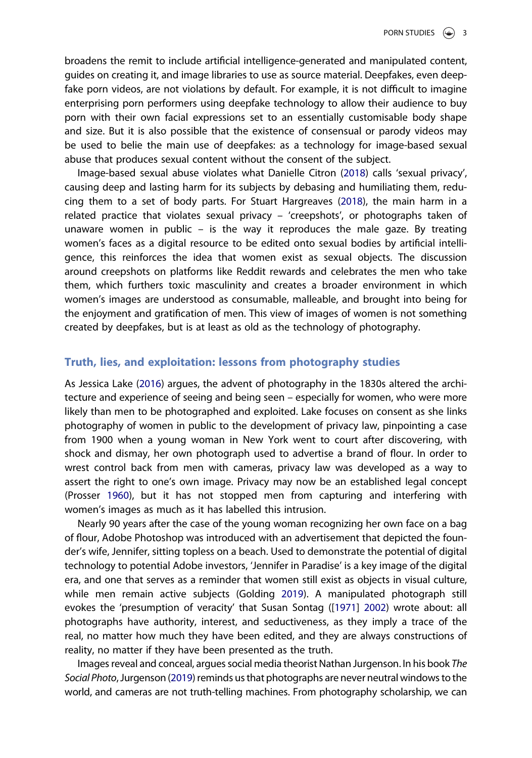<span id="page-3-0"></span>broadens the remit to include artificial intelligence-generated and manipulated content, guides on creating it, and image libraries to use as source material. Deepfakes, even deepfake porn videos, are not violations by default. For example, it is not difficult to imagine enterprising porn performers using deepfake technology to allow their audience to buy porn with their own facial expressions set to an essentially customisable body shape and size. But it is also possible that the existence of consensual or parody videos may be used to belie the main use of deepfakes: as a technology for image-based sexual abuse that produces sexual content without the consent of the subject.

Image-based sexual abuse violates what Danielle Citron ([2018](#page-6-0)) calls 'sexual privacy', causing deep and lasting harm for its subjects by debasing and humiliating them, reducing them to a set of body parts. For Stuart Hargreaves [\(2018](#page-6-0)), the main harm in a related practice that violates sexual privacy – 'creepshots', or photographs taken of unaware women in public – is the way it reproduces the male gaze. By treating women's faces as a digital resource to be edited onto sexual bodies by artificial intelligence, this reinforces the idea that women exist as sexual objects. The discussion around creepshots on platforms like Reddit rewards and celebrates the men who take them, which furthers toxic masculinity and creates a broader environment in which women's images are understood as consumable, malleable, and brought into being for the enjoyment and gratification of men. This view of images of women is not something created by deepfakes, but is at least as old as the technology of photography.

# Truth, lies, and exploitation: lessons from photography studies

As Jessica Lake [\(2016\)](#page-6-0) argues, the advent of photography in the 1830s altered the architecture and experience of seeing and being seen – especially for women, who were more likely than men to be photographed and exploited. Lake focuses on consent as she links photography of women in public to the development of privacy law, pinpointing a case from 1900 when a young woman in New York went to court after discovering, with shock and dismay, her own photograph used to advertise a brand of flour. In order to wrest control back from men with cameras, privacy law was developed as a way to assert the right to one's own image. Privacy may now be an established legal concept (Prosser [1960\)](#page-6-0), but it has not stopped men from capturing and interfering with women's images as much as it has labelled this intrusion.

Nearly 90 years after the case of the young woman recognizing her own face on a bag of flour, Adobe Photoshop was introduced with an advertisement that depicted the founder's wife, Jennifer, sitting topless on a beach. Used to demonstrate the potential of digital technology to potential Adobe investors, 'Jennifer in Paradise' is a key image of the digital era, and one that serves as a reminder that women still exist as objects in visual culture, while men remain active subjects (Golding [2019](#page-6-0)). A manipulated photograph still evokes the 'presumption of veracity' that Susan Sontag ([\[1971\]](#page-6-0) [2002](#page-6-0)) wrote about: all photographs have authority, interest, and seductiveness, as they imply a trace of the real, no matter how much they have been edited, and they are always constructions of reality, no matter if they have been presented as the truth.

Images reveal and conceal, argues social media theorist Nathan Jurgenson. In his book The Social Photo, Jurgenson [\(2019](#page-6-0)) reminds us that photographs are never neutral windows to the world, and cameras are not truth-telling machines. From photography scholarship, we can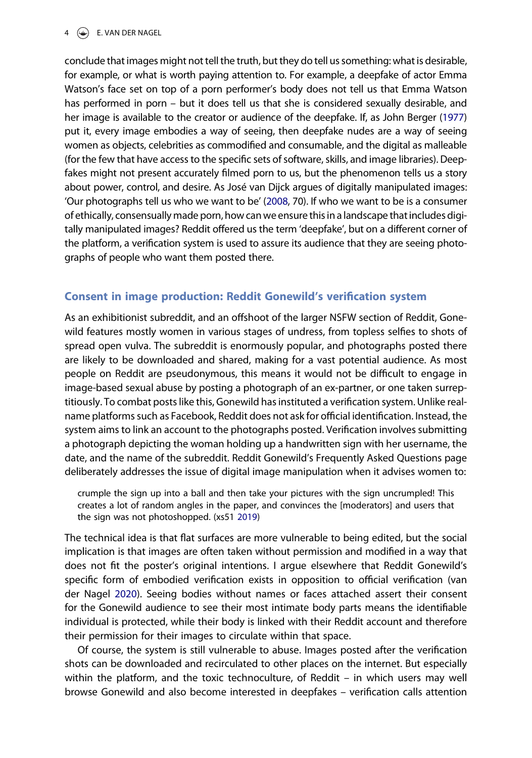# <span id="page-4-0"></span> $4 \quad \Leftrightarrow \quad$  E. VAN DER NAGEL

conclude that images might not tell the truth, but they do tell us something: what is desirable, for example, or what is worth paying attention to. For example, a deepfake of actor Emma Watson's face set on top of a porn performer's body does not tell us that Emma Watson has performed in porn – but it does tell us that she is considered sexually desirable, and her image is available to the creator or audience of the deepfake. If, as John Berger [\(1977](#page-6-0)) put it, every image embodies a way of seeing, then deepfake nudes are a way of seeing women as objects, celebrities as commodified and consumable, and the digital as malleable (for the few that have access to the specific sets of software, skills, and image libraries). Deepfakes might not present accurately filmed porn to us, but the phenomenon tells us a story about power, control, and desire. As José van Dijck argues of digitally manipulated images: 'Our photographs tell us who we want to be' [\(2008](#page-6-0), 70). If who we want to be is a consumer of ethically, consensually made porn, how can we ensure this in a landscape that includes digitally manipulated images? Reddit offered us the term 'deepfake', but on a different corner of the platform, a verification system is used to assure its audience that they are seeing photographs of people who want them posted there.

# Consent in image production: Reddit Gonewild's verification system

As an exhibitionist subreddit, and an offshoot of the larger NSFW section of Reddit, Gonewild features mostly women in various stages of undress, from topless selfies to shots of spread open vulva. The subreddit is enormously popular, and photographs posted there are likely to be downloaded and shared, making for a vast potential audience. As most people on Reddit are pseudonymous, this means it would not be difficult to engage in image-based sexual abuse by posting a photograph of an ex-partner, or one taken surreptitiously. To combat posts like this, Gonewild has instituted a verification system. Unlike realname platforms such as Facebook, Reddit does not ask for official identification. Instead, the system aims to link an account to the photographs posted. Verification involves submitting a photograph depicting the woman holding up a handwritten sign with her username, the date, and the name of the subreddit. Reddit Gonewild's Frequently Asked Questions page deliberately addresses the issue of digital image manipulation when it advises women to:

crumple the sign up into a ball and then take your pictures with the sign uncrumpled! This creates a lot of random angles in the paper, and convinces the [moderators] and users that the sign was not photoshopped. (xs51 [2019\)](#page-6-0)

The technical idea is that flat surfaces are more vulnerable to being edited, but the social implication is that images are often taken without permission and modified in a way that does not fit the poster's original intentions. I argue elsewhere that Reddit Gonewild's specific form of embodied verification exists in opposition to official verification (van der Nagel [2020\)](#page-6-0). Seeing bodies without names or faces attached assert their consent for the Gonewild audience to see their most intimate body parts means the identifiable individual is protected, while their body is linked with their Reddit account and therefore their permission for their images to circulate within that space.

Of course, the system is still vulnerable to abuse. Images posted after the verification shots can be downloaded and recirculated to other places on the internet. But especially within the platform, and the toxic technoculture, of Reddit – in which users may well browse Gonewild and also become interested in deepfakes – verification calls attention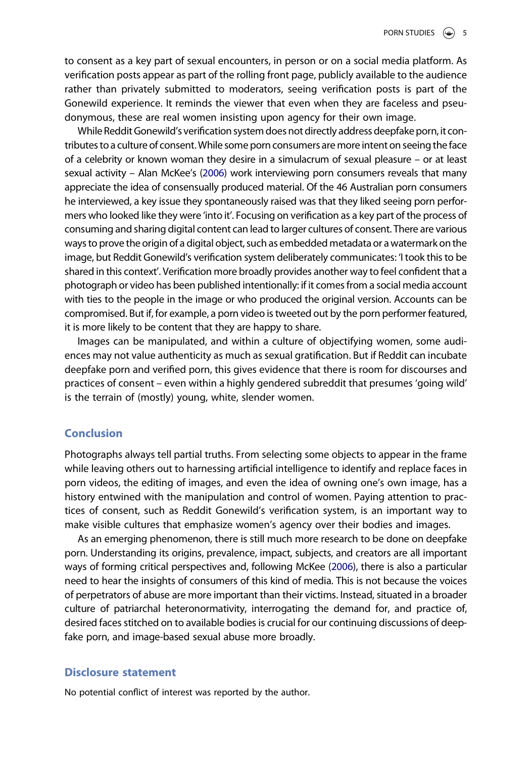<span id="page-5-0"></span>to consent as a key part of sexual encounters, in person or on a social media platform. As verification posts appear as part of the rolling front page, publicly available to the audience rather than privately submitted to moderators, seeing verification posts is part of the Gonewild experience. It reminds the viewer that even when they are faceless and pseudonymous, these are real women insisting upon agency for their own image.

While Reddit Gonewild's verification system does not directly address deepfake porn, it contributes to a culture of consent.While some porn consumers aremore intent on seeing the face of a celebrity or known woman they desire in a simulacrum of sexual pleasure – or at least sexual activity – Alan McKee's [\(2006\)](#page-6-0) work interviewing porn consumers reveals that many appreciate the idea of consensually produced material. Of the 46 Australian porn consumers he interviewed, a key issue they spontaneously raised was that they liked seeing porn performers who looked like they were 'into it'. Focusing on verification as a key part of the process of consuming and sharing digital content can lead to larger cultures of consent. There are various ways to prove the origin of a digital object, such as embedded metadata or a watermark on the image, but Reddit Gonewild's verification system deliberately communicates: 'I took this to be shared in this context'. Verification more broadly provides another way to feel confident that a photograph or video has been published intentionally: if it comes from a social media account with ties to the people in the image or who produced the original version. Accounts can be compromised. But if, for example, a porn video is tweeted out by the porn performer featured, it is more likely to be content that they are happy to share.

Images can be manipulated, and within a culture of objectifying women, some audiences may not value authenticity as much as sexual gratification. But if Reddit can incubate deepfake porn and verified porn, this gives evidence that there is room for discourses and practices of consent – even within a highly gendered subreddit that presumes 'going wild' is the terrain of (mostly) young, white, slender women.

# Conclusion

Photographs always tell partial truths. From selecting some objects to appear in the frame while leaving others out to harnessing artificial intelligence to identify and replace faces in porn videos, the editing of images, and even the idea of owning one's own image, has a history entwined with the manipulation and control of women. Paying attention to practices of consent, such as Reddit Gonewild's verification system, is an important way to make visible cultures that emphasize women's agency over their bodies and images.

As an emerging phenomenon, there is still much more research to be done on deepfake porn. Understanding its origins, prevalence, impact, subjects, and creators are all important ways of forming critical perspectives and, following McKee [\(2006](#page-6-0)), there is also a particular need to hear the insights of consumers of this kind of media. This is not because the voices of perpetrators of abuse are more important than their victims. Instead, situated in a broader culture of patriarchal heteronormativity, interrogating the demand for, and practice of, desired faces stitched on to available bodies is crucial for our continuing discussions of deepfake porn, and image-based sexual abuse more broadly.

### Disclosure statement

No potential conflict of interest was reported by the author.